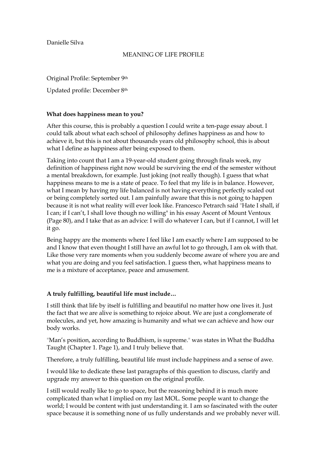Danielle Silva

## MEANING OF LIFE PROFILE

Original Profile: September 9th

Updated profile: December 8th

## **What does happiness mean to you?**

After this course, this is probably a question I could write a ten-page essay about. I could talk about what each school of philosophy defines happiness as and how to achieve it, but this is not about thousands years old philosophy school, this is about what I define as happiness after being exposed to them.

Taking into count that I am a 19-year-old student going through finals week, my definition of happiness right now would be surviving the end of the semester without a mental breakdown, for example. Just joking (not really though). I guess that what happiness means to me is a state of peace. To feel that my life is in balance. However, what I mean by having my life balanced is not having everything perfectly scaled out or being completely sorted out. I am painfully aware that this is not going to happen because it is not what reality will ever look like. Francesco Petrarch said "Hate I shall, if I can; if I can't, I shall love though no willing" in his essay Ascent of Mount Ventoux (Page 80), and I take that as an advice: I will do whatever I can, but if I cannot, I will let it go.

Being happy are the moments where I feel like I am exactly where I am supposed to be and I know that even thought I still have an awful lot to go through, I am ok with that. Like those very rare moments when you suddenly become aware of where you are and what you are doing and you feel satisfaction. I guess then, what happiness means to me is a mixture of acceptance, peace and amusement.

# **A truly fulfilling, beautiful life must include…**

I still think that life by itself is fulfilling and beautiful no matter how one lives it. Just the fact that we are alive is something to rejoice about. We are just a conglomerate of molecules, and yet, how amazing is humanity and what we can achieve and how our body works.

"Man's position, according to Buddhism, is supreme." was states in What the Buddha Taught (Chapter 1. Page 1), and I truly believe that.

Therefore, a truly fulfilling, beautiful life must include happiness and a sense of awe.

I would like to dedicate these last paragraphs of this question to discuss, clarify and upgrade my answer to this question on the original profile.

I still would really like to go to space, but the reasoning behind it is much more complicated than what I implied on my last MOL. Some people want to change the world; I would be content with just understanding it. I am so fascinated with the outer space because it is something none of us fully understands and we probably never will.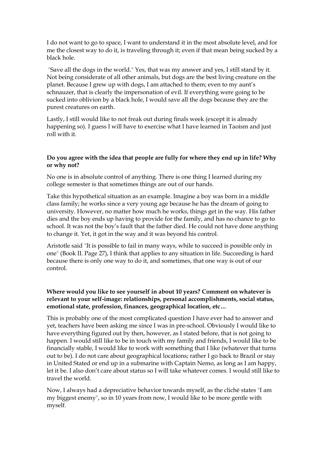I do not want to go to space, I want to understand it in the most absolute level, and for me the closest way to do it, is traveling through it; even if that mean being sucked by a black hole.

"Save all the dogs in the world." Yes, that was my answer and yes, I still stand by it. Not being considerate of all other animals, but dogs are the best living creature on the planet. Because I grew up with dogs, I am attached to them; even to my aunt's schnauzer, that is clearly the impersonation of evil. If everything were going to be sucked into oblivion by a black hole, I would save all the dogs because they are the purest creatures on earth.

Lastly, I still would like to not freak out during finals week (except it is already happening so). I guess I will have to exercise what I have learned in Taoism and just roll with it.

## **Do you agree with the idea that people are fully for where they end up in life? Why or why not?**

No one is in absolute control of anything. There is one thing I learned during my college semester is that sometimes things are out of our hands.

Take this hypothetical situation as an example. Imagine a boy was born in a middle class family; he works since a very young age because he has the dream of going to university. However, no matter how much he works, things get in the way. His father dies and the boy ends up having to provide for the family, and has no chance to go to school. It was not the boy's fault that the father died. He could not have done anything to change it. Yet, it got in the way and it was beyond his control.

Aristotle said "It is possible to fail in many ways, while to succeed is possible only in one" (Book II. Page 27), I think that applies to any situation in life. Succeeding is hard because there is only one way to do it, and sometimes, that one way is out of our control.

## **Where would you like to see yourself in about 10 years? Comment on whatever is relevant to your self-image: relationships, personal accomplishments, social status, emotional state, profession, finances, geographical location, etc…**

This is probably one of the most complicated question I have ever had to answer and yet, teachers have been asking me since I was in pre-school. Obviously I would like to have everything figured out by then, however, as I stated before, that is not going to happen. I would still like to be in touch with my family and friends, I would like to be financially stable, I would like to work with something that I like (whatever that turns out to be). I do not care about geographical locations; rather I go back to Brazil or stay in United Stated or end up in a submarine with Captain Nemo, as long as I am happy, let it be. I also don't care about status so I will take whatever comes. I would still like to travel the world.

Now, I always had a depreciative behavior towards myself, as the cliché states "I am my biggest enemy", so in 10 years from now, I would like to be more gentle with myself.